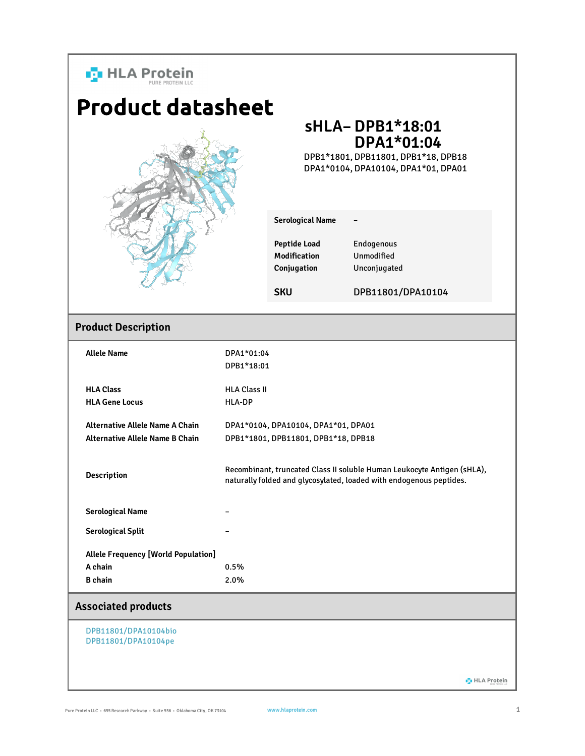

**D** HLA Protein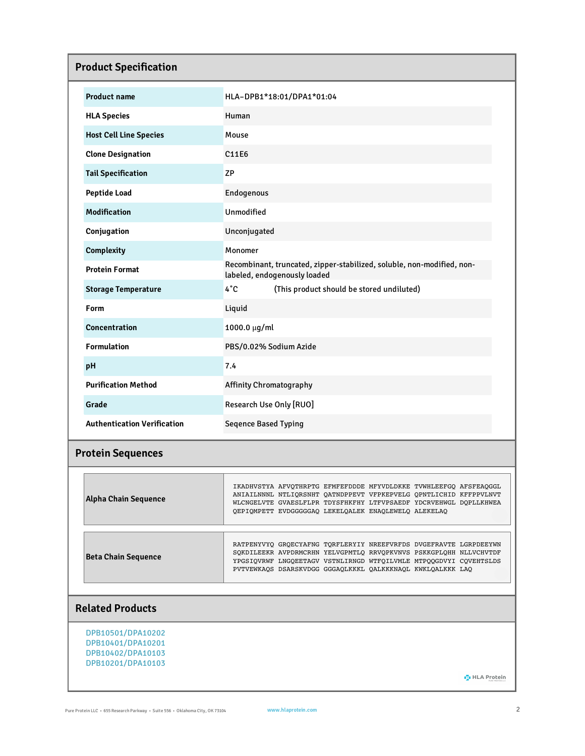| <b>Product Specification</b>       |                                                                                                                                                                                                                                                                           |  |  |  |  |
|------------------------------------|---------------------------------------------------------------------------------------------------------------------------------------------------------------------------------------------------------------------------------------------------------------------------|--|--|--|--|
| <b>Product name</b>                | HLA-DPB1*18:01/DPA1*01:04                                                                                                                                                                                                                                                 |  |  |  |  |
| <b>HLA Species</b>                 | Human                                                                                                                                                                                                                                                                     |  |  |  |  |
| <b>Host Cell Line Species</b>      | Mouse                                                                                                                                                                                                                                                                     |  |  |  |  |
| <b>Clone Designation</b>           | C11E6                                                                                                                                                                                                                                                                     |  |  |  |  |
| <b>Tail Specification</b>          | <b>ZP</b>                                                                                                                                                                                                                                                                 |  |  |  |  |
| <b>Peptide Load</b>                | Endogenous                                                                                                                                                                                                                                                                |  |  |  |  |
| <b>Modification</b>                | Unmodified                                                                                                                                                                                                                                                                |  |  |  |  |
| Conjugation                        | Unconjugated                                                                                                                                                                                                                                                              |  |  |  |  |
| <b>Complexity</b>                  | Monomer                                                                                                                                                                                                                                                                   |  |  |  |  |
| <b>Protein Format</b>              | Recombinant, truncated, zipper-stabilized, soluble, non-modified, non-<br>labeled, endogenously loaded                                                                                                                                                                    |  |  |  |  |
| <b>Storage Temperature</b>         | $4^{\circ}C$<br>(This product should be stored undiluted)                                                                                                                                                                                                                 |  |  |  |  |
| Form                               | Liquid                                                                                                                                                                                                                                                                    |  |  |  |  |
| <b>Concentration</b>               | 1000.0 μg/ml                                                                                                                                                                                                                                                              |  |  |  |  |
| <b>Formulation</b>                 | PBS/0.02% Sodium Azide                                                                                                                                                                                                                                                    |  |  |  |  |
| рH                                 | 7.4                                                                                                                                                                                                                                                                       |  |  |  |  |
| <b>Purification Method</b>         | <b>Affinity Chromatography</b>                                                                                                                                                                                                                                            |  |  |  |  |
| Grade                              | Research Use Only [RUO]                                                                                                                                                                                                                                                   |  |  |  |  |
| <b>Authentication Verification</b> | <b>Seqence Based Typing</b>                                                                                                                                                                                                                                               |  |  |  |  |
| <b>Protein Sequences</b>           |                                                                                                                                                                                                                                                                           |  |  |  |  |
| <b>Alpha Chain Sequence</b>        | IKADHVSTYA AFVQTHRPTG EFMFEFDDDE MFYVDLDKKE TVWHLEEFGQ AFSFEAQGGL<br>ANIAILNNNL NTLIQRSNHT QATNDPPEVT VFPKEPVELG QPNTLICHID KFFPPVLNVT<br>WLCNGELVTE GVAESLFLPR TDYSFHKFHY LTFVPSAEDF YDCRVEHWGL DOPLLKHWEA<br>QEPIQMPETT EVDGGGGGAQ LEKELQALEK ENAQLEWELQ ALEKELAQ       |  |  |  |  |
| <b>Beta Chain Sequence</b>         | RATPENYVYQ GRQECYAFNG TQRFLERYIY NREEFVRFDS DVGEFRAVTE LGRPDEEYWN<br>SQKDILEEKR AVPDRMCRHN YELVGPMTLQ RRVQPKVNVS PSKKGPLQHH NLLVCHVTDF<br>YPGSIQVRWF LNGQEETAGV VSTNLIRNGD WTFQILVMLE MTPQQGDVYI CQVEHTSLDS<br>PVTVEWKAQS DSARSKVDGG GGGAQLKKKL QALKKKNAQL KWKLQALKKK LAQ |  |  |  |  |
| <b>Related Products</b>            |                                                                                                                                                                                                                                                                           |  |  |  |  |

DPB10501/DPA10202 DPB10401/DPA10201 DPB10402/DPA10103 DPB10201/DPA10103

**D** HLA Protein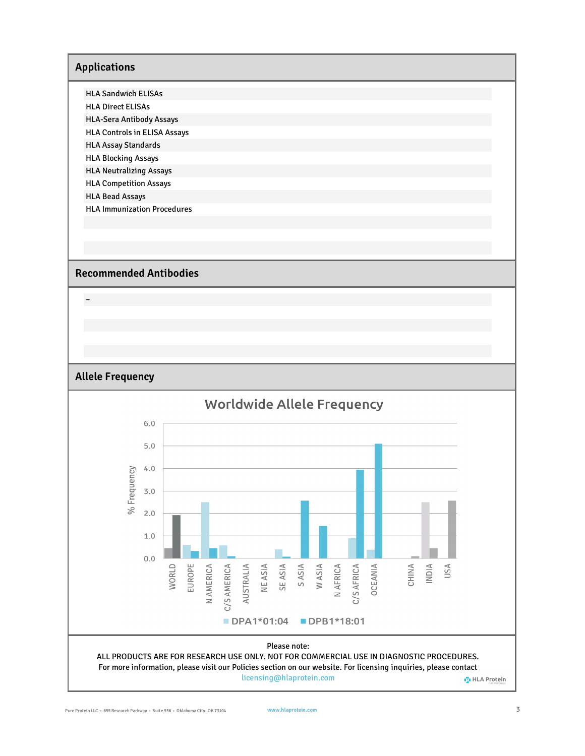